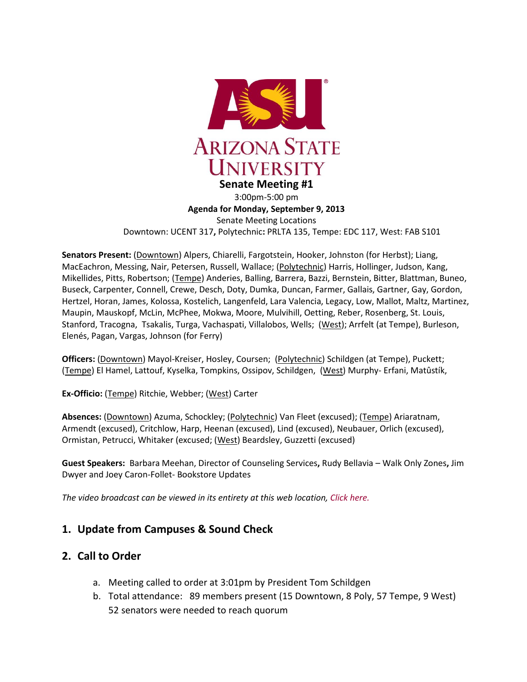

3:00pm-5:00 pm **Agenda for Monday, September 9, 2013** Senate Meeting Locations Downtown: UCENT 317**,** Polytechnic**:** PRLTA 135, Tempe: EDC 117, West: FAB S101

**Senators Present:** (Downtown) Alpers, Chiarelli, Fargotstein, Hooker, Johnston (for Herbst); Liang, MacEachron, Messing, Nair, Petersen, Russell, Wallace; (Polytechnic) Harris, Hollinger, Judson, Kang, Mikellides, Pitts, Robertson; (Tempe) Anderies, Balling, Barrera, Bazzi, Bernstein, Bitter, Blattman, Buneo, Buseck, Carpenter, Connell, Crewe, Desch, Doty, Dumka, Duncan, Farmer, Gallais, Gartner, Gay, Gordon, Hertzel, Horan, James, Kolossa, Kostelich, Langenfeld, Lara Valencia, Legacy, Low, Mallot, Maltz, Martinez, Maupin, Mauskopf, McLin, McPhee, Mokwa, Moore, Mulvihill, Oetting, Reber, Rosenberg, St. Louis, Stanford, Tracogna, Tsakalis, Turga, Vachaspati, Villalobos, Wells; (West); Arrfelt (at Tempe), Burleson, Elenés, Pagan, Vargas, Johnson (for Ferry)

**Officers:** (Downtown) Mayol-Kreiser, Hosley, Coursen; (Polytechnic) Schildgen (at Tempe), Puckett; (Tempe) El Hamel, Lattouf, Kyselka, Tompkins, Ossipov, Schildgen, (West) Murphy- Erfani, Matûstík,

**Ex-Officio:** (Tempe) Ritchie, Webber; (West) Carter

**Absences:** (Downtown) Azuma, Schockley; (Polytechnic) Van Fleet (excused); (Tempe) Ariaratnam, Armendt (excused), Critchlow, Harp, Heenan (excused), Lind (excused), Neubauer, Orlich (excused), Ormistan, Petrucci, Whitaker (excused; (West) Beardsley, Guzzetti (excused)

**Guest Speakers:** Barbara Meehan, Director of Counseling Services**,** Rudy Bellavia – Walk Only Zones**,** Jim Dwyer and Joey Caron-Follet- Bookstore Updates

*The video broadcast can be viewed in its entirety at this web location[, Click here.](http://usenate.asu.edu/videos)*

## **1. Update from Campuses & Sound Check**

### **2. Call to Order**

- a. Meeting called to order at 3:01pm by President Tom Schildgen
- b. Total attendance: 89 members present (15 Downtown, 8 Poly, 57 Tempe, 9 West) 52 senators were needed to reach quorum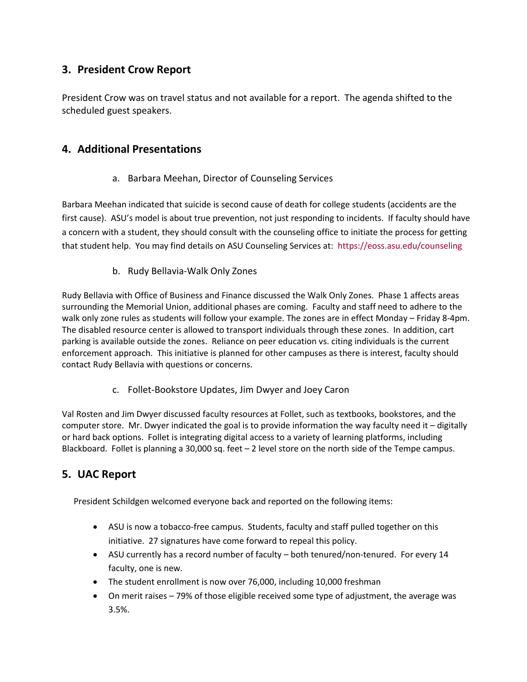# **3. President Crow Report**

President Crow was on travel status and not available for a report. The agenda shifted to the scheduled guest speakers.

## **4. Additional Presentations**

### a. Barbara Meehan, Director of Counseling Services

Barbara Meehan indicated that suicide is second cause of death for college students (accidents are the first cause). ASU's model is about true prevention, not just responding to incidents. If faculty should have a concern with a student, they should consult with the counseling office to initiate the process for getting that student help. You may find details on ASU Counseling Services at: <https://eoss.asu.edu/counseling>

### b. Rudy Bellavia-Walk Only Zones

Rudy Bellavia with Office of Business and Finance discussed the Walk Only Zones. Phase 1 affects areas surrounding the Memorial Union, additional phases are coming. Faculty and staff need to adhere to the walk only zone rules as students will follow your example. The zones are in effect Monday – Friday 8-4pm. The disabled resource center is allowed to transport individuals through these zones. In addition, cart parking is available outside the zones. Reliance on peer education vs. citing individuals is the current enforcement approach. This initiative is planned for other campuses as there is interest, faculty should contact Rudy Bellavia with questions or concerns.

c. Follet-Bookstore Updates, Jim Dwyer and Joey Caron

Val Rosten and Jim Dwyer discussed faculty resources at Follet, such as textbooks, bookstores, and the computer store. Mr. Dwyer indicated the goal is to provide information the way faculty need it – digitally or hard back options. Follet is integrating digital access to a variety of learning platforms, including Blackboard. Follet is planning a 30,000 sq. feet – 2 level store on the north side of the Tempe campus.

# **5. UAC Report**

President Schildgen welcomed everyone back and reported on the following items:

- ASU is now a tobacco-free campus. Students, faculty and staff pulled together on this initiative. 27 signatures have come forward to repeal this policy.
- ASU currently has a record number of faculty both tenured/non-tenured. For every 14 faculty, one is new.
- The student enrollment is now over 76,000, including 10,000 freshman
- On merit raises 79% of those eligible received some type of adjustment, the average was 3.5%.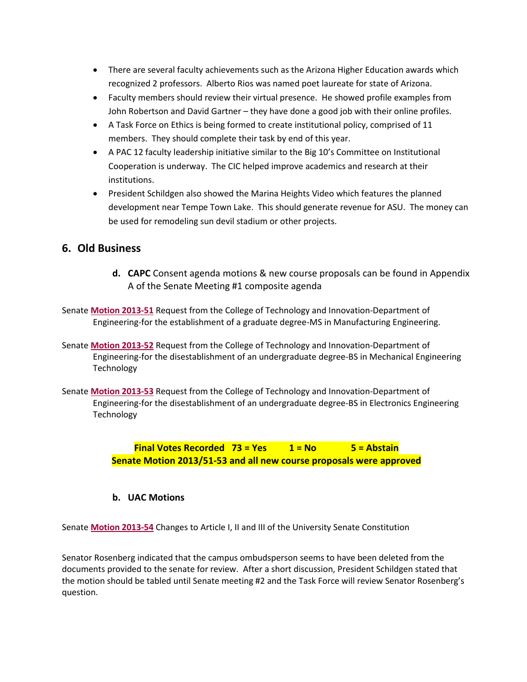- There are several faculty achievements such as the Arizona Higher Education awards which recognized 2 professors. Alberto Rios was named poet laureate for state of Arizona.
- Faculty members should review their virtual presence. He showed profile examples from John Robertson and David Gartner – they have done a good job with their online profiles.
- A Task Force on Ethics is being formed to create institutional policy, comprised of 11 members. They should complete their task by end of this year.
- A PAC 12 faculty leadership initiative similar to the Big 10's Committee on Institutional Cooperation is underway. The CIC helped improve academics and research at their institutions.
- President Schildgen also showed the Marina Heights Video which features the planned development near Tempe Town Lake. This should generate revenue for ASU. The money can be used for remodeling sun devil stadium or other projects.

## **6. Old Business**

- **d. CAPC** Consent agenda motions & new course proposals can be found in Appendix A of the Senate Meeting #1 composite agenda
- Senate **[Motion 2013-51](http://usenate.asu.edu/node/4529)** Request from the College of Technology and Innovation-Department of Engineering-for the establishment of a graduate degree-MS in Manufacturing Engineering.
- Senate **[Motion 2013-52](http://usenate.asu.edu/node/4528)** Request from the College of Technology and Innovation-Department of Engineering-for the disestablishment of an undergraduate degree-BS in Mechanical Engineering Technology
- Senate **[Motion 2013-53](http://usenate.asu.edu/node/4527)** Request from the College of Technology and Innovation-Department of Engineering-for the disestablishment of an undergraduate degree-BS in Electronics Engineering Technology

**Final Votes Recorded 73 = Yes 1 = No 5 = Abstain Senate Motion 2013/51-53 and all new course proposals were approved**

### **b. UAC Motions**

Senate **[Motion 2013-54](http://usenate.asu.edu/node/4532)** Changes to Article I, II and III of the University Senate Constitution

Senator Rosenberg indicated that the campus ombudsperson seems to have been deleted from the documents provided to the senate for review. After a short discussion, President Schildgen stated that the motion should be tabled until Senate meeting #2 and the Task Force will review Senator Rosenberg's question.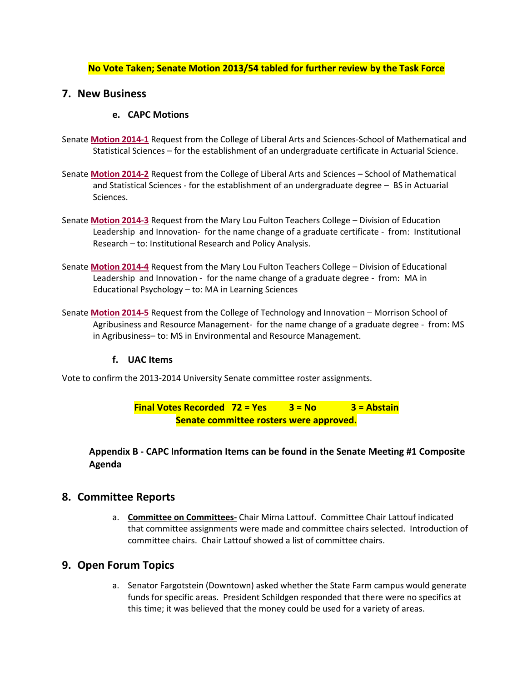#### **No Vote Taken; Senate Motion 2013/54 tabled for further review by the Task Force**

### **7. New Business**

#### **e. CAPC Motions**

- Senate **[Motion 2014-1](http://usenate.asu.edu/node/4734)** Request from the College of Liberal Arts and Sciences-School of Mathematical and Statistical Sciences – for the establishment of an undergraduate certificate in Actuarial Science.
- Senate **[Motion 2014-2](http://usenate.asu.edu/node/4735)** Request from the College of Liberal Arts and Sciences School of Mathematical and Statistical Sciences - for the establishment of an undergraduate degree – BS in Actuarial Sciences.
- Senate **[Motion 2014-3](http://usenate.asu.edu/node/4736)** Request from the Mary Lou Fulton Teachers College Division of Education Leadership and Innovation- for the name change of a graduate certificate - from: Institutional Research – to: Institutional Research and Policy Analysis.
- Senate **[Motion 2014-4](http://usenate.asu.edu/node/4737)** Request from the Mary Lou Fulton Teachers College Division of Educational Leadership and Innovation - for the name change of a graduate degree - from: MA in Educational Psychology – to: MA in Learning Sciences
- Senate **[Motion 2014-5](http://usenate.asu.edu/node/4738)** Request from the College of Technology and Innovation Morrison School of Agribusiness and Resource Management- for the name change of a graduate degree - from: MS in Agribusiness– to: MS in Environmental and Resource Management.

#### **f. UAC Items**

Vote to confirm the 2013-2014 University Senate committee roster assignments.

**Final Votes Recorded 72 = Yes 3 = No 3 = Abstain Senate committee rosters were approved.**

**Appendix B - CAPC Information Items can be found in the Senate Meeting #1 Composite Agenda**

#### **8. Committee Reports**

a. **Committee on Committees-** Chair Mirna Lattouf. Committee Chair Lattouf indicated that committee assignments were made and committee chairs selected. Introduction of committee chairs. Chair Lattouf showed a list of committee chairs.

#### **9. Open Forum Topics**

a. Senator Fargotstein (Downtown) asked whether the State Farm campus would generate funds for specific areas. President Schildgen responded that there were no specifics at this time; it was believed that the money could be used for a variety of areas.